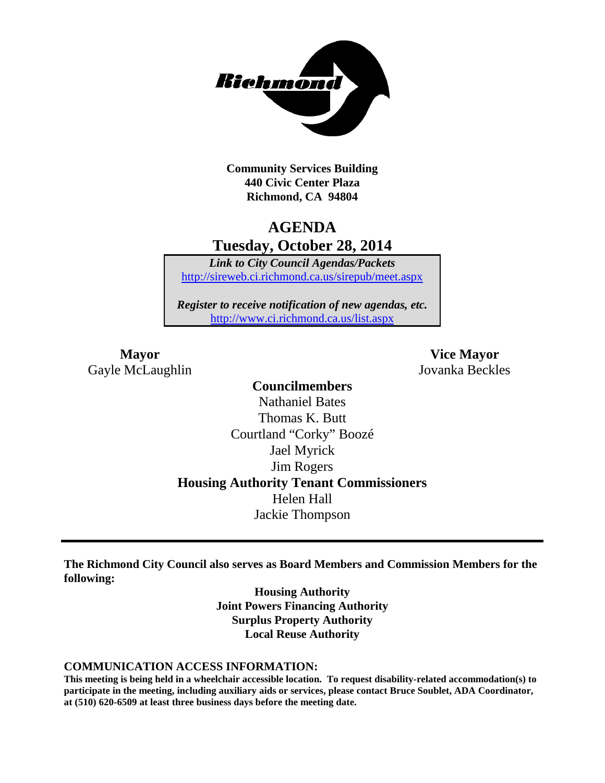

**Community Services Building 440 Civic Center Plaza Richmond, CA 94804**

### **AGENDA Tuesday, October 28, 2014**

*Link to City Council Agendas/Packets* <http://sireweb.ci.richmond.ca.us/sirepub/meet.aspx>

*Register to receive notification of new agendas, etc.* <http://www.ci.richmond.ca.us/list.aspx>

Gayle McLaughlin Jovanka Beckles

**Mayor Vice Mayor**

**Councilmembers** Nathaniel Bates Thomas K. Butt Courtland "Corky" Boozé Jael Myrick Jim Rogers **Housing Authority Tenant Commissioners** Helen Hall Jackie Thompson

**The Richmond City Council also serves as Board Members and Commission Members for the following:**

> **Housing Authority Joint Powers Financing Authority Surplus Property Authority Local Reuse Authority**

#### **COMMUNICATION ACCESS INFORMATION:**

**This meeting is being held in a wheelchair accessible location. To request disability-related accommodation(s) to participate in the meeting, including auxiliary aids or services, please contact Bruce Soublet, ADA Coordinator, at (510) 620-6509 at least three business days before the meeting date.**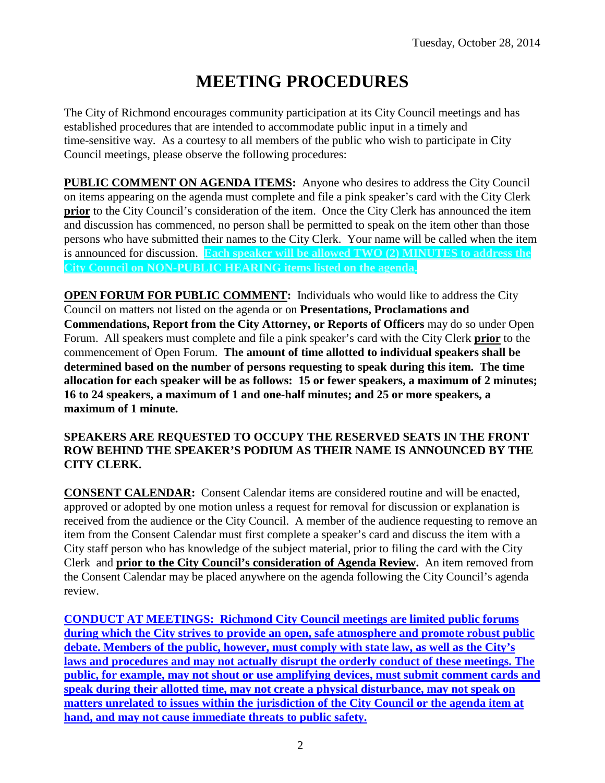# **MEETING PROCEDURES**

The City of Richmond encourages community participation at its City Council meetings and has established procedures that are intended to accommodate public input in a timely and time-sensitive way. As a courtesy to all members of the public who wish to participate in City Council meetings, please observe the following procedures:

**PUBLIC COMMENT ON AGENDA ITEMS:** Anyone who desires to address the City Council on items appearing on the agenda must complete and file a pink speaker's card with the City Clerk **prior** to the City Council's consideration of the item. Once the City Clerk has announced the item and discussion has commenced, no person shall be permitted to speak on the item other than those persons who have submitted their names to the City Clerk. Your name will be called when the item is announced for discussion. **Each speaker will be allowed TWO (2) MINUTES to address the City Council on NON-PUBLIC HEARING items listed on the agenda.**

**OPEN FORUM FOR PUBLIC COMMENT:** Individuals who would like to address the City Council on matters not listed on the agenda or on **Presentations, Proclamations and Commendations, Report from the City Attorney, or Reports of Officers** may do so under Open Forum. All speakers must complete and file a pink speaker's card with the City Clerk **prior** to the commencement of Open Forum. **The amount of time allotted to individual speakers shall be determined based on the number of persons requesting to speak during this item. The time allocation for each speaker will be as follows: 15 or fewer speakers, a maximum of 2 minutes; 16 to 24 speakers, a maximum of 1 and one-half minutes; and 25 or more speakers, a maximum of 1 minute.**

### **SPEAKERS ARE REQUESTED TO OCCUPY THE RESERVED SEATS IN THE FRONT ROW BEHIND THE SPEAKER'S PODIUM AS THEIR NAME IS ANNOUNCED BY THE CITY CLERK.**

**CONSENT CALENDAR:** Consent Calendar items are considered routine and will be enacted, approved or adopted by one motion unless a request for removal for discussion or explanation is received from the audience or the City Council. A member of the audience requesting to remove an item from the Consent Calendar must first complete a speaker's card and discuss the item with a City staff person who has knowledge of the subject material, prior to filing the card with the City Clerk and **prior to the City Council's consideration of Agenda Review.** An item removed from the Consent Calendar may be placed anywhere on the agenda following the City Council's agenda review.

**CONDUCT AT MEETINGS: Richmond City Council meetings are limited public forums during which the City strives to provide an open, safe atmosphere and promote robust public debate. Members of the public, however, must comply with state law, as well as the City's laws and procedures and may not actually disrupt the orderly conduct of these meetings. The public, for example, may not shout or use amplifying devices, must submit comment cards and speak during their allotted time, may not create a physical disturbance, may not speak on matters unrelated to issues within the jurisdiction of the City Council or the agenda item at hand, and may not cause immediate threats to public safety.**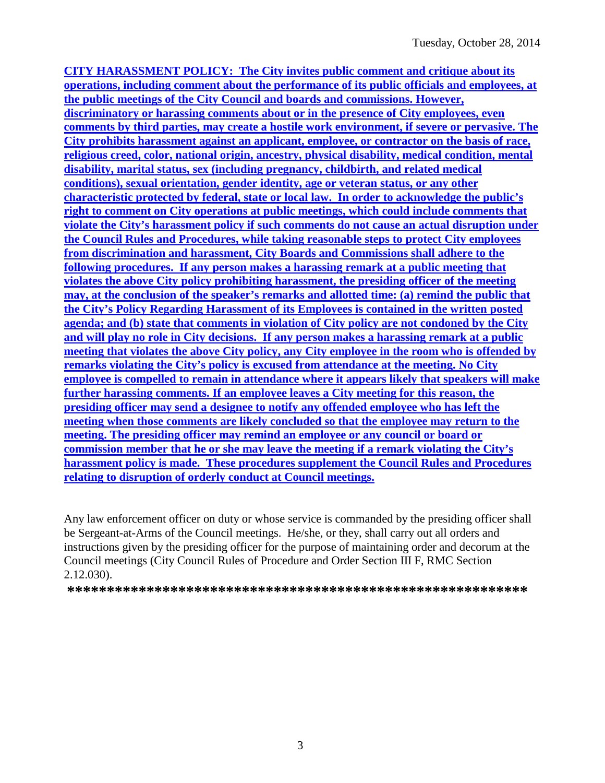**CITY HARASSMENT POLICY: The City invites public comment and critique about its operations, including comment about the performance of its public officials and employees, at the public meetings of the City Council and boards and commissions. However, discriminatory or harassing comments about or in the presence of City employees, even comments by third parties, may create a hostile work environment, if severe or pervasive. The City prohibits harassment against an applicant, employee, or contractor on the basis of race, religious creed, color, national origin, ancestry, physical disability, medical condition, mental disability, marital status, sex (including pregnancy, childbirth, and related medical conditions), sexual orientation, gender identity, age or veteran status, or any other characteristic protected by federal, state or local law. In order to acknowledge the public's right to comment on City operations at public meetings, which could include comments that violate the City's harassment policy if such comments do not cause an actual disruption under the Council Rules and Procedures, while taking reasonable steps to protect City employees from discrimination and harassment, City Boards and Commissions shall adhere to the following procedures. If any person makes a harassing remark at a public meeting that violates the above City policy prohibiting harassment, the presiding officer of the meeting may, at the conclusion of the speaker's remarks and allotted time: (a) remind the public that the City's Policy Regarding Harassment of its Employees is contained in the written posted agenda; and (b) state that comments in violation of City policy are not condoned by the City and will play no role in City decisions. If any person makes a harassing remark at a public meeting that violates the above City policy, any City employee in the room who is offended by remarks violating the City's policy is excused from attendance at the meeting. No City employee is compelled to remain in attendance where it appears likely that speakers will make further harassing comments. If an employee leaves a City meeting for this reason, the presiding officer may send a designee to notify any offended employee who has left the meeting when those comments are likely concluded so that the employee may return to the meeting. The presiding officer may remind an employee or any council or board or commission member that he or she may leave the meeting if a remark violating the City's harassment policy is made. These procedures supplement the Council Rules and Procedures relating to disruption of orderly conduct at Council meetings.**

Any law enforcement officer on duty or whose service is commanded by the presiding officer shall be Sergeant-at-Arms of the Council meetings. He/she, or they, shall carry out all orders and instructions given by the presiding officer for the purpose of maintaining order and decorum at the Council meetings (City Council Rules of Procedure and Order Section III F, RMC Section 2.12.030).

**\*\*\*\*\*\*\*\*\*\*\*\*\*\*\*\*\*\*\*\*\*\*\*\*\*\*\*\*\*\*\*\*\*\*\*\*\*\*\*\*\*\*\*\*\*\*\*\*\*\*\*\*\*\*\*\*\*\***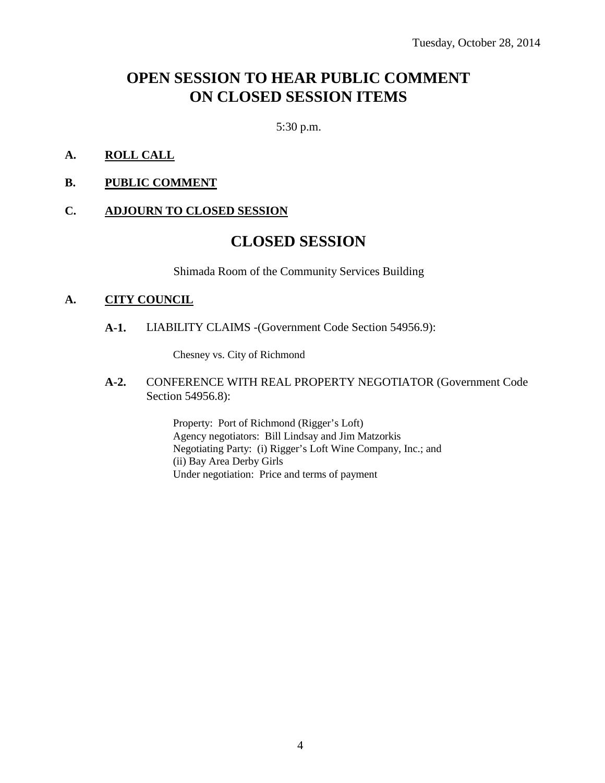### **OPEN SESSION TO HEAR PUBLIC COMMENT ON CLOSED SESSION ITEMS**

5:30 p.m.

- **A. ROLL CALL**
- **B. PUBLIC COMMENT**

### **C. ADJOURN TO CLOSED SESSION**

### **CLOSED SESSION**

Shimada Room of the Community Services Building

### **A. CITY COUNCIL**

**A-1.** LIABILITY CLAIMS -(Government Code Section 54956.9):

Chesney vs. City of Richmond

**A-2.** CONFERENCE WITH REAL PROPERTY NEGOTIATOR (Government Code Section 54956.8):

> Property: Port of Richmond (Rigger's Loft) Agency negotiators: Bill Lindsay and Jim Matzorkis Negotiating Party: (i) Rigger's Loft Wine Company, Inc.; and (ii) Bay Area Derby Girls Under negotiation: Price and terms of payment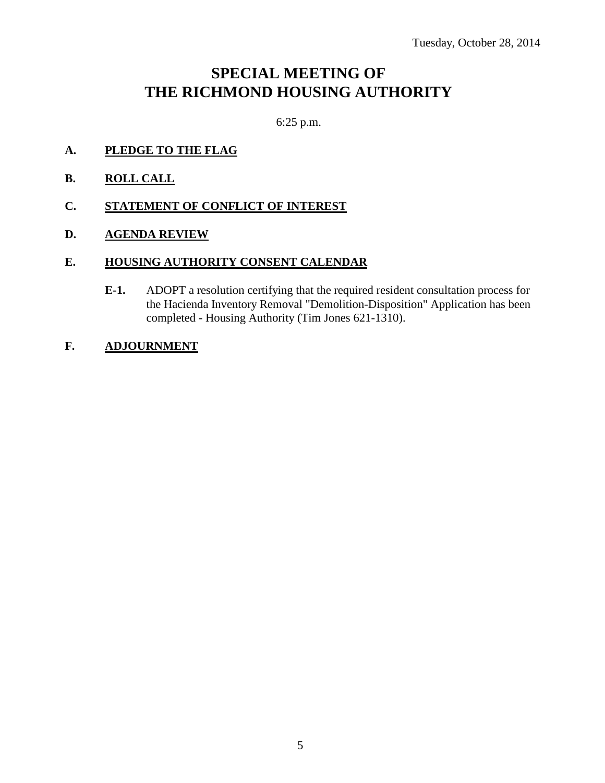### **SPECIAL MEETING OF THE RICHMOND HOUSING AUTHORITY**

6:25 p.m.

- **A. PLEDGE TO THE FLAG**
- **B. ROLL CALL**
- **C. STATEMENT OF CONFLICT OF INTEREST**
- **D. AGENDA REVIEW**

### **E. HOUSING AUTHORITY CONSENT CALENDAR**

- **E-1.** ADOPT a resolution certifying that the required resident consultation process for the Hacienda Inventory Removal "Demolition-Disposition" Application has been completed - Housing Authority (Tim Jones 621-1310).
- **F. ADJOURNMENT**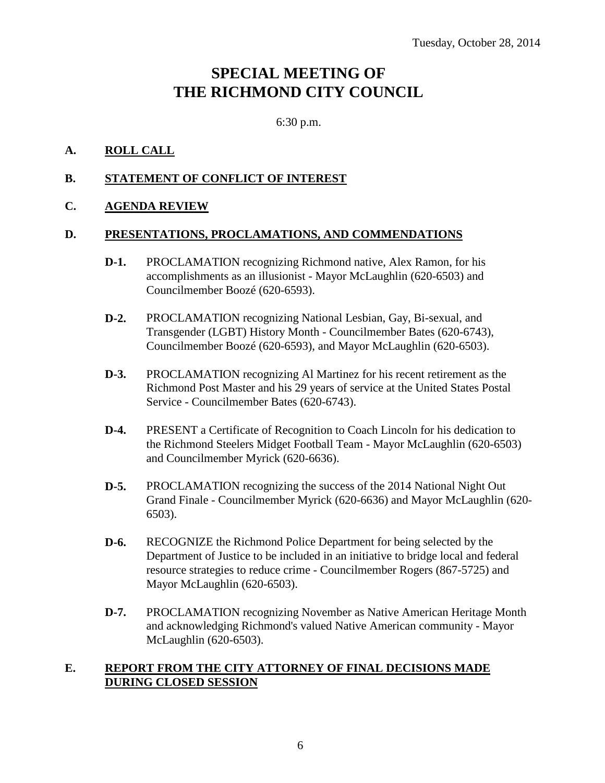## **SPECIAL MEETING OF THE RICHMOND CITY COUNCIL**

6:30 p.m.

### **A. ROLL CALL**

### **B. STATEMENT OF CONFLICT OF INTEREST**

### **C. AGENDA REVIEW**

### **D. PRESENTATIONS, PROCLAMATIONS, AND COMMENDATIONS**

- **D-1.** PROCLAMATION recognizing Richmond native, Alex Ramon, for his accomplishments as an illusionist - Mayor McLaughlin (620-6503) and Councilmember Boozé (620-6593).
- **D-2.** PROCLAMATION recognizing National Lesbian, Gay, Bi-sexual, and Transgender (LGBT) History Month - Councilmember Bates (620-6743), Councilmember Boozé (620-6593), and Mayor McLaughlin (620-6503).
- **D-3.** PROCLAMATION recognizing Al Martinez for his recent retirement as the Richmond Post Master and his 29 years of service at the United States Postal Service - Councilmember Bates (620-6743).
- **D-4.** PRESENT a Certificate of Recognition to Coach Lincoln for his dedication to the Richmond Steelers Midget Football Team - Mayor McLaughlin (620-6503) and Councilmember Myrick (620-6636).
- **D-5.** PROCLAMATION recognizing the success of the 2014 National Night Out Grand Finale - Councilmember Myrick (620-6636) and Mayor McLaughlin (620- 6503).
- **D-6.** RECOGNIZE the Richmond Police Department for being selected by the Department of Justice to be included in an initiative to bridge local and federal resource strategies to reduce crime - Councilmember Rogers (867-5725) and Mayor McLaughlin (620-6503).
- **D-7.** PROCLAMATION recognizing November as Native American Heritage Month and acknowledging Richmond's valued Native American community - Mayor McLaughlin (620-6503).

### **E. REPORT FROM THE CITY ATTORNEY OF FINAL DECISIONS MADE DURING CLOSED SESSION**